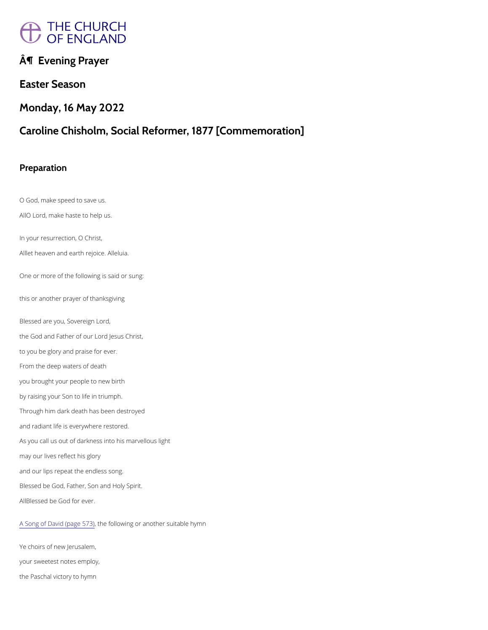# THE CHURCH

 $\hat{A}$ ¶ Evening Prayer

Easter Season

Monday, 16 May 2022

O God, make speed to save us. AO Lord, make haste to help us.

Caroline Chisholm, Social Reformer, 1877 [Commemoration]

Preparation

In your resurrection, O Christ,

Allet heaven and earAthler bujbace.

One or more of the following is said or sung:

this or another prayer of thanksgiving

Blessed are you, Sovereign Lord, the God and Father of our Lord Jesus Christ, to you be glory and praise for ever. From the deep waters of death you brought your people to new birth by raising your Son to life in triumph. Through him dark death has been destroyed and radiant life is everywhere restored. As you call us out of darkness into his marvellous light may our lives reflect his glory

and our lips repeat the endless song.

Blessed be God, Father, Son and Holy Spirit.

ABlessed be God for ever.

[A Song of David](https://cwdp.oremus.org/../canticles/otcanticles/22.html) (pthose following or another suitable hymn

Ye choirs of new Jerusalem,

your sweetest notes employ,

the Paschal victory to hymn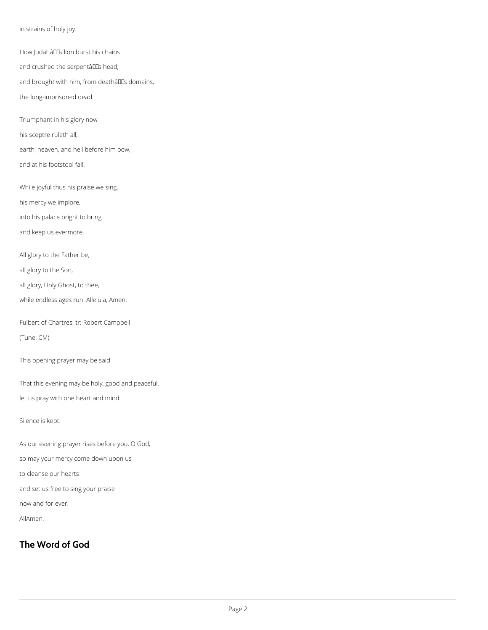in strains of holy joy.

How JudahâllEs lion burst his chains

and crushed the serpentâlls head;

and brought with him, from deathâlls domains,

the long-imprisoned dead.

Triumphant in his glory now

his sceptre ruleth all,

earth, heaven, and hell before him bow,

and at his footstool fall.

While joyful thus his praise we sing,

his mercy we implore,

into his palace bright to bring

and keep us evermore.

All glory to the Father be,

all glory to the Son,

all glory, Holy Ghost, to thee,

while endless ages run. Alleluia, Amen.

Fulbert of Chartres, tr: Robert Campbell

(Tune: CM)

This opening prayer may be said

That this evening may be holy, good and peaceful,

let us pray with one heart and mind.

Silence is kept.

As our evening prayer rises before you, O God,

so may your mercy come down upon us

to cleanse our hearts

and set us free to sing your praise

now and for ever.

AllAmen.

# **The Word of God**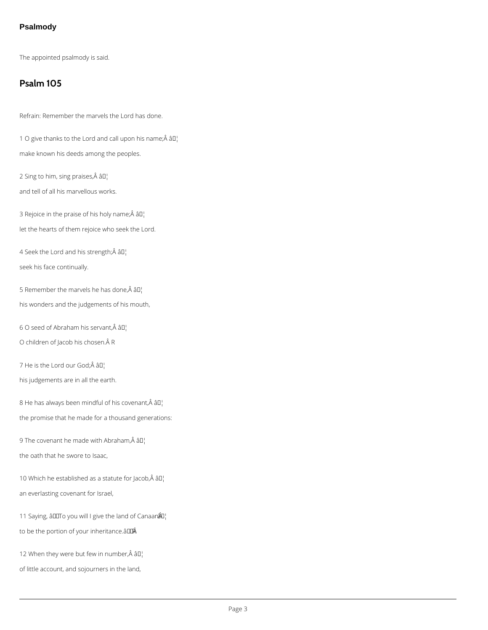## **Psalmody**

The appointed psalmody is said.

## **Psalm 105**

Refrain: Remember the marvels the Lord has done.

1 O give thanks to the Lord and call upon his name; $\hat{A}$   $\hat{a}$  $\Gamma$ make known his deeds among the peoples.

2 Sing to him, sing praises, $\hat{A}$  â $I$ ]

4 Seek the Lord and his strength; $\hat{A}$  â $\Box$ seek his face continually.

and tell of all his marvellous works.

3 Rejoice in the praise of his holy name; $\hat{A}$  â $I$ <sup>1</sup>

5 Remember the marvels he has done, $\hat{A}$  â $I$ his wonders and the judgements of his mouth,

6 O seed of Abraham his servant,  $\hat{A}$  â $\Box$ 

O children of Jacob his chosen. Â R

7 He is the Lord our God;Â âD¦

let the hearts of them rejoice who seek the Lord.

his judgements are in all the earth.

8 He has always been mindful of his covenant, $\hat{A}$  â $\Box$ 

the promise that he made for a thousand generations:

9 The covenant he made with Abraham, $\hat{A}$  â $\Box$ 

the oath that he swore to Isaac,

10 Which he established as a statute for Jacob, $\hat{A}$  â $\Box$ 

an everlasting covenant for Israel,

11 Saying, âDOTO you will I give the land of Canaan  $\frac{20}{1}$ 

to be the portion of your inheritance. a DIA

12 When they were but few in number, $\hat{A}$  âll

of little account, and sojourners in the land,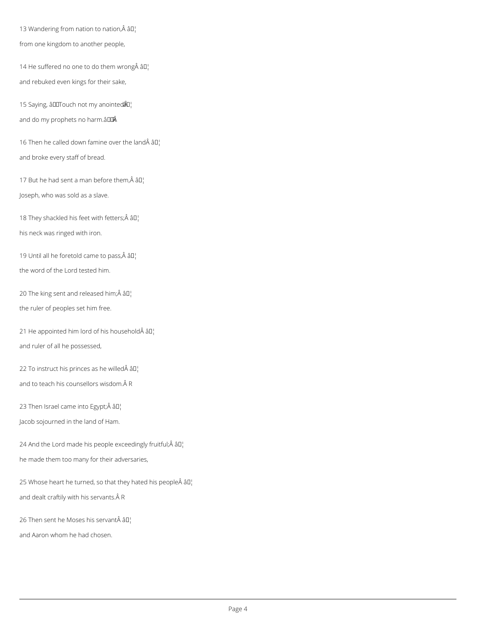13 Wandering from nation to nation, Â â D¦ from one kingdom to another people,

14 He suffered no one to do them wrong $\hat{A}$  âll and rebuked even kings for their sake,

15 Saying, â $IUT$ ouch not my anointed $\hat{A}I$ and do my prophets no harm.â LLÂ

16 Then he called down famine over the land $\hat{A}$   $\hat{a}$  $\Gamma$ and broke every staff of bread.

17 But he had sent a man before them, $\hat{A}$  â $I$ <sup>1</sup> Joseph, who was sold as a slave.

18 They shackled his feet with fetters; Â â [] his neck was ringed with iron.

19 Until all he foretold came to pass, $\hat{A}$  â $\Box$ the word of the Lord tested him.

20 The king sent and released him; $\hat{A}$   $\hat{a}$  $\Gamma$ the ruler of peoples set him free.

21 He appointed him lord of his household $\hat{A}$   $\hat{a}$  $\Gamma$ and ruler of all he possessed,

22 To instruct his princes as he willed $\hat{A}$   $\hat{a}$  $\Gamma$ <sup>1</sup> and to teach his counsellors wisdom. Â R

23 Then Israel came into Egypt; $\hat{A}$  â $I_I$ Jacob sojourned in the land of Ham.

24 And the Lord made his people exceedingly fruitful; $\hat{A}$   $\hat{a}$  $I$ <sup>1</sup> he made them too many for their adversaries,

25 Whose heart he turned, so that they hated his people $\hat{A}$  â $I$ <sup>1</sup>

and dealt craftily with his servants. Â R

26 Then sent he Moses his servant $\hat{A}$  â $I_I$ 

and Aaron whom he had chosen.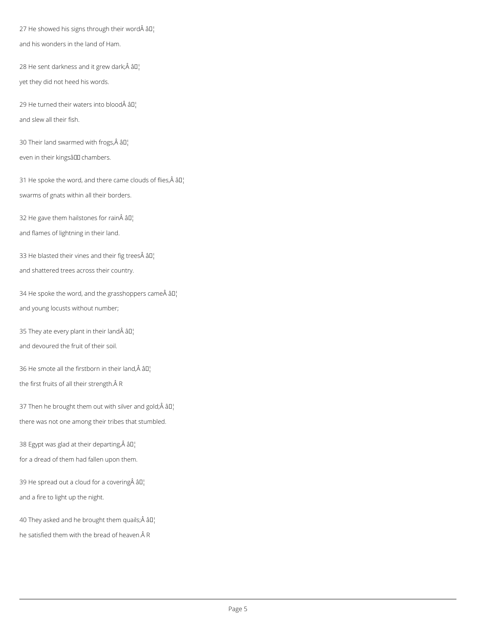27 He showed his signs through their word $\hat{A}$   $\hat{a}$  $\Gamma$ <sup>1</sup> and his wonders in the land of Ham.

28 He sent darkness and it grew dark; $\hat{A}$   $\hat{a}$  $\Gamma$ yet they did not heed his words.

29 He turned their waters into blood $\hat{A}$   $\hat{a}$ D<sub>1</sub> and slew all their fish.

30 Their land swarmed with frogs, $\hat{A}$  â $I$ <sup>1</sup> even in their kingsâll chambers.

31 He spoke the word, and there came clouds of flies, $\hat{A}$   $\hat{a}$  $\Gamma$ swarms of gnats within all their borders.

32 He gave them hailstones for rain $\hat{A}$  â $\Box$ 

33 He blasted their vines and their fig trees $\hat{A}$  â $II$ <sup>1</sup> and shattered trees across their country.

34 He spoke the word, and the grasshoppers came  $\hat{A}$   $\hat{a}$  $\Gamma$ and young locusts without number;

35 They ate every plant in their land $\hat{A}$   $\hat{a}$  $\Gamma$ 

and flames of lightning in their land.

37 Then he brought them out with silver and gold; $\hat{A}$   $\hat{a}$  $I$ <sup>1</sup> there was not one among their tribes that stumbled.

38 Egypt was glad at their departing, $\hat{A}$  â $\Box$ 

and devoured the fruit of their soil.

36 He smote all the firstborn in their land, $\hat{A}$  âll the first fruits of all their strength. Â R

for a dread of them had fallen upon them.

39 He spread out a cloud for a covering  $\hat{A}$   $\hat{a}$  $\Gamma$ 

and a fire to light up the night.

40 They asked and he brought them quails;  $\hat{A}$   $\hat{a}$  $\Gamma$ 

he satisfied them with the bread of heaven. Â R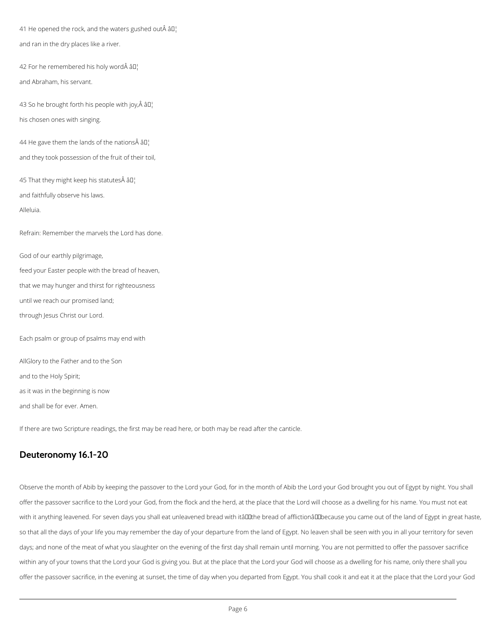41 He opened the rock, and the waters gushed out $\hat{A}$   $\hat{a}$  $\Gamma$ and ran in the dry places like a river.

42 For he remembered his holy word $\hat{A}$   $\hat{a}$  $\Gamma$ and Abraham, his servant.

43 So he brought forth his people with joy, $\hat{A}$   $\hat{a}$  $\hat{a}$  $\hat{b}$ his chosen ones with singing.

44 He gave them the lands of the nations  $\hat{A}$   $\hat{a}$  $\Gamma$ . and they took possession of the fruit of their toil,

45 That they might keep his statutes  $\hat{A}$  all

and faithfully observe his laws.

Alleluia.

Refrain: Remember the marvels the Lord has done.

God of our earthly pilgrimage,

feed your Easter people with the bread of heaven,

that we may hunger and thirst for righteousness

until we reach our promised land;

through Jesus Christ our Lord.

Each psalm or group of psalms may end with

AllGlory to the Father and to the Son

and to the Holy Spirit;

as it was in the beginning is now

and shall be for ever. Amen.

If there are two Scripture readings, the first may be read here, or both may be read after the canticle.

## **Deuteronomy 16.1-20**

Observe the month of Abib by keeping the passover to the Lord your God, for in the month of Abib the Lord your God brought you out of Egypt by night. You shall

offer the passover sacrifice to the Lord your God, from the flock and the herd, at the place that the Lord will choose as a dwelling for his name. You must not eat

with it anything leavened. For seven days you shall eat unleavened bread with itâll the bread of afflictionâl ubecause you came out of the land of Egypt in great haste,

so that all the days of your life you may remember the day of your departure from the land of Egypt. No leaven shall be seen with you in all your territory for seven

days; and none of the meat of what you slaughter on the evening of the first day shall remain until morning. You are not permitted to offer the passover sacrifice

within any of your towns that the Lord your God is giving you. But at the place that the Lord your God will choose as a dwelling for his name, only there shall you

offer the passover sacrifice, in the evening at sunset, the time of day when you departed from Egypt. You shall cook it and eat it at the place that the Lord your God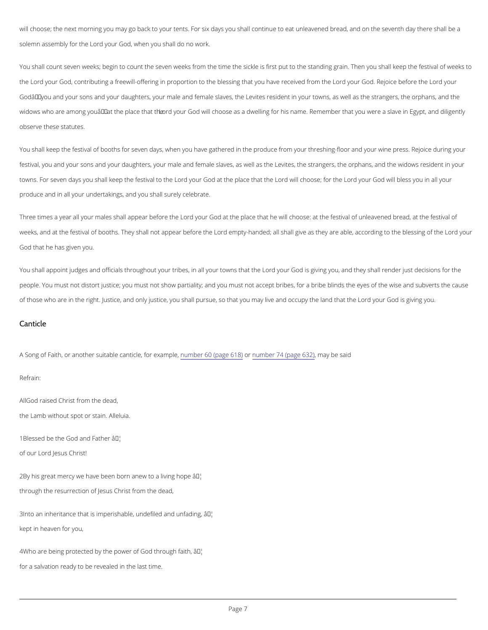will choose; the next morning you may go back to your tents. For six days you shall continue to eat unle solemn assembly of  $\phi$  the God, when you shall do no work.

You shall count seven weeks; begin to count the seven weeks from the time the sickle is first put to the the Lordy our God, contributing a freewill-offering in proportion to the bless of magu thas ody or a chipa veel before the our frequency of the one Godâ $\epsilon$ "you and your sons and your daughters, your male and female slaves, the Levites resident in your widows who are among youâ€"a**t on by opula cGeo thavilthœhoose** as a dwelling for his name. Remember that you w observe these statutes.

You shall keep the festival of booths for seven days, when you have gathered in the produce from your t festival, you and your sons and your daughters, your male and female slaves, as well as the Levites, the towns. For seven days you shall keleoprolyhoeu nfeGsotidvaalt ttohethpelal.coerolwhialt otherose;Lfcorrolytchuer God will bless you in a produce and in all your undertakings, and you shall surely celebrate.

Three times a year all your males shlad to appume sero bleat ontenethpelace that he will choose: at the festival of unle weeks, and at the festival of booths. They sLhoarlde mopttya-phpaenadine objefad ries hhael give as they are able, aboondydding God that he has given you.

You shall appoint judges and officials throughout your Ltoribbyeosu,rinGoadliys oguinvitnogwy nosulhaath thhey shall render j people. You must not distort justice; you must not show partiality; and you must not accept bribes, for a of those who are in the right. Justice, and only justice, you shall pursue, sd on that by the onda yis liquie immydyousur

A Song of Faith, or another suitable nouammolieorle6,0 f $\beta$ praegoxema **6**n/polobye, r 74 (pagen 66y32b) e said Refrain:

AlGod raised Christ from the dead,

the Lamb without spatletus aain.

 $1B$  lessed be the God  $\hat{a}$  MMd Father

#### Canticle

of our Lord Jesus Christ!

 $2B$ y his great mercy we have been bornâ $\bar{a}$ Thew to a living hope

through the resurrection of Jesus Christ from the dead,

3Into an inheritance that is imperishable,  $\hat{a}$ u<sup>r</sup>M defiled and unfading,

kept in heaven for you,

 $4W$  ho are being protected by the power  $\hat{a}$ <sup>M</sup> God through faith,

for a salvation ready to be revealed in the last time.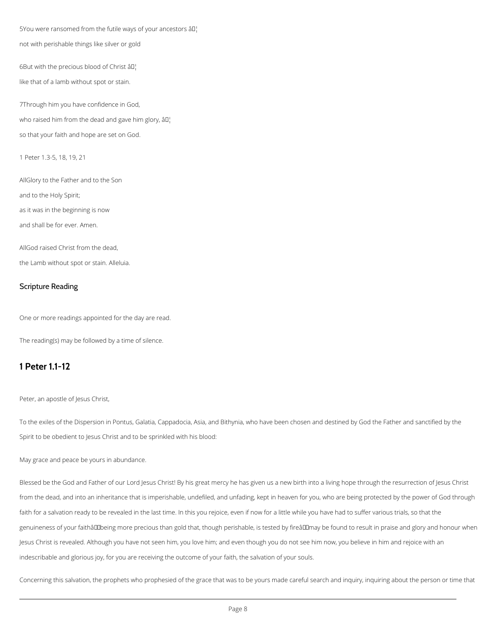5You were ransomed from the futile ways of your ancestors âll.

not with perishable things like silver or gold

6But with the precious blood of Christ  $\partial \mathbb{I}^1$ .

like that of a lamb without spot or stain.

7Through him you have confidence in God, who raised him from the dead and gave him glory,  $\partial \Pi$ . so that your faith and hope are set on God.

1 Peter 1.3-5, 18, 19, 21

AllGlory to the Father and to the Son and to the Holy Spirit;

as it was in the beginning is now

and shall be for ever. Amen.

AllGod raised Christ from the dead,

the Lamb without spot or stain. Alleluia.

#### Scripture Reading

One or more readings appointed for the day are read.

The reading(s) may be followed by a time of silence.

## **1 Peter 1.1-12**

Peter, an apostle of Jesus Christ,

To the exiles of the Dispersion in Pontus, Galatia, Cappadocia, Asia, and Bithynia, who have been chosen and destined by God the Father and sanctified by the Spirit to be obedient to Jesus Christ and to be sprinkled with his blood:

May grace and peace be yours in abundance.

Blessed be the God and Father of our Lord Jesus Christ! By his great mercy he has given us a new birth into a living hope through the resurrection of Jesus Christ

from the dead, and into an inheritance that is imperishable, undefiled, and unfading, kept in heaven for you, who are being protected by the power of God through

faith for a salvation ready to be revealed in the last time. In this you rejoice, even if now for a little while you have had to suffer various trials, so that the

genuineness of your faithâDDbeing more precious than gold that, though perishable, is tested by fireâDDmay be found to result in praise and glory and honour when

Jesus Christ is revealed. Although you have not seen him, you love him; and even though you do not see him now, you believe in him and rejoice with an

indescribable and glorious joy, for you are receiving the outcome of your faith, the salvation of your souls.

Concerning this salvation, the prophets who prophesied of the grace that was to be yours made careful search and inquiry, inquiring about the person or time that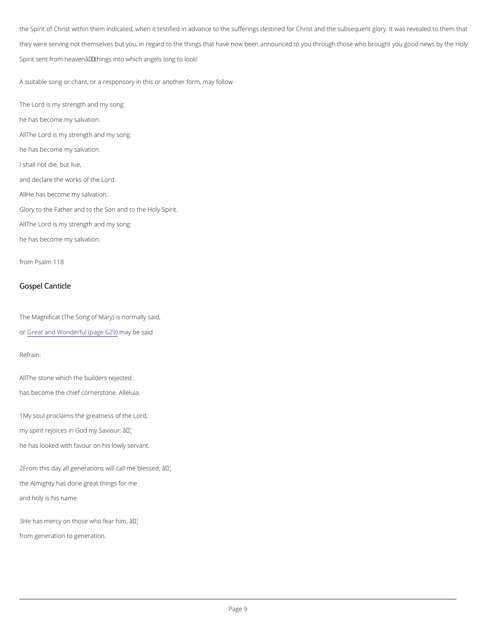the Spirit of Christ within them indicated, when it testified in advance to the sufferings destined for Chr they were serving not themselves but you, in regard to the things that have now been announced to you Spirit sent from heaven $\hat{a} \in$ "things into which angels long to look!

A suitable song or chant, or a responsory in this or another form, may follow

The Lord is my strength and my song: he has become my salvation. All The Lord is my strength and my song: he has become my salvation. I shall not die, but live, and declare the works of the Lord. AHe has become my salvation. Glory to the Father and to the Son and to the Holy Spirit. All The Lord is my strength and my song: he has become my salvation.

from Psalm 118

Gospel Canticle

The Magnificat (The Song of Mary) is normally said,

 $o$ r $G$ reat and Wonderful (page be  $84)$ d

Refrain:

All he stone which the builders rejected has become the chief cold teleurisatione.

1My soul proclaims the greatness of the Lord, my spirit rejoices in Goad<sup>TM</sup>mhy Saviour; he has looked with favour on his lowly servant.

 $2F$ rom this day all generations wa $\mathbb{F}^{\mathsf{M}}$  call me blessed;

the Almighty has done great things for me

and holy is his name.

 $3He$  has mercy on those want fear him,

from generation to generation.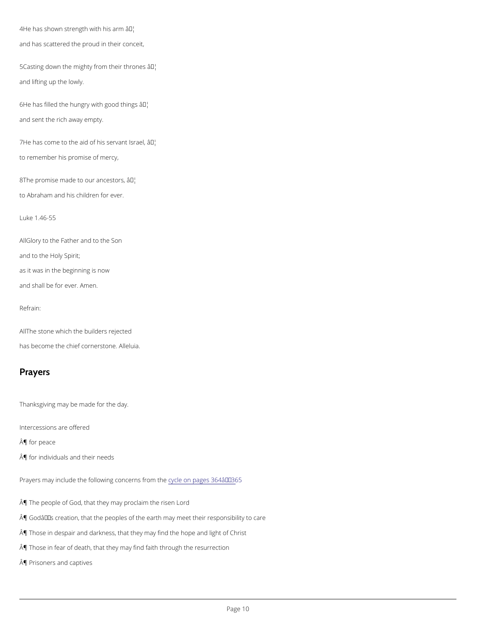$4He$  has shown strength  $\hat{a}$ <sup>th</sup>th his arm and has scattered the proud in their conceit,

 $5C$  asting down the mighty from their thrones and lifting up the lowly.

 $6H$ e has filled the hungry wat $TM$  good things and sent the rich away empty.

 $7$ He has come to the aid of h $\hat{a}$ s<sup>t M</sup>s'ervant Israel, to remember his promise of mercy,

 $8T$  he promise made to ou $\hat{a}$ <sup>TM</sup>a ncestors, to Abraham and his children for ever.

AlGlory to the Father and to the Son and to the Holy Spirit; as it was in the beginning is now and shall be for ever. Amen.

Luke 1.46-55

Refrain:

All The stone which the builders rejected has become the chief cold the buisatione.

## Prayers

Thanksgiving may be made for the day.

Intercessions are offered

¶ for peace

¶ for individuals and their needs

¶ The people of God, that they may proclaim the risen Lord

 $\hat{A}$ ¶ Godâ $\epsilon$ ™s creation, that the peoples of the earth may meet their responsibility to care

¶ Those in despair and darkness, that they may find the hope and light of Christ

¶ Those in fear of death, that they may find faith through the resurrection

¶ Prisoners and captives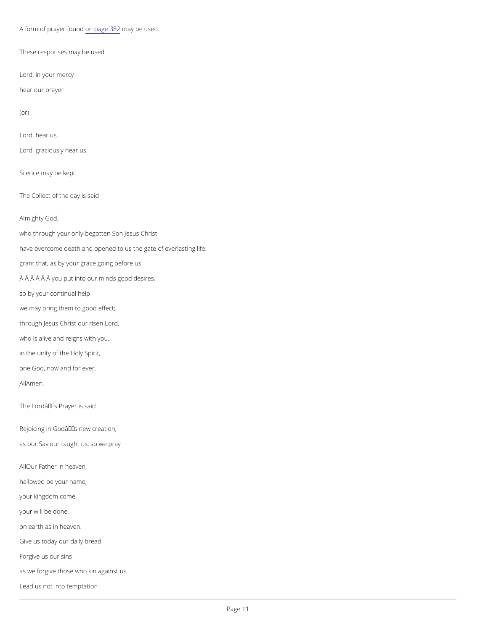A form of prayeorn fpagel 8n&a2y be used.

These responses may be used

Lord, in your mercy

hear our prayer

(or)

Lord, hear us.

Lord, graciously hear us.

Silence may be kept.

The Collect of the day is said

Almighty God,

who through your only-begotten Son Jesus Christ

have overcome death and opened to us the gate of everlasting life:

grant that, as by your grace going before us

 $\hat{A}$   $\hat{A}$   $\hat{A}$   $\hat{A}$   $\hat{A}$   $\hat{B}$  you put into our minds good desires,

so by your continual help

we may bring them to good effect;

through Jesus Christ our risen Lord,

who is alive and reigns with you,

in the unity of the Holy Spirit,

one God, now and for ever.

AAMmen.

The Lord $\hat{a} \in \mathbb{T}^M$ s Prayer is said

Rejoicing in  $G$ odâ $\in$ <sup>TM</sup>s new creation,

as our Saviour taught us, so we pray

A Our Father in heaven

hallowed be your name,

your kingdom come,

your will be done,

on earth as in heaven.

Give us today our daily bread.

Forgive us our sins

as we forgive those who sin against us.

Lead us not into temptation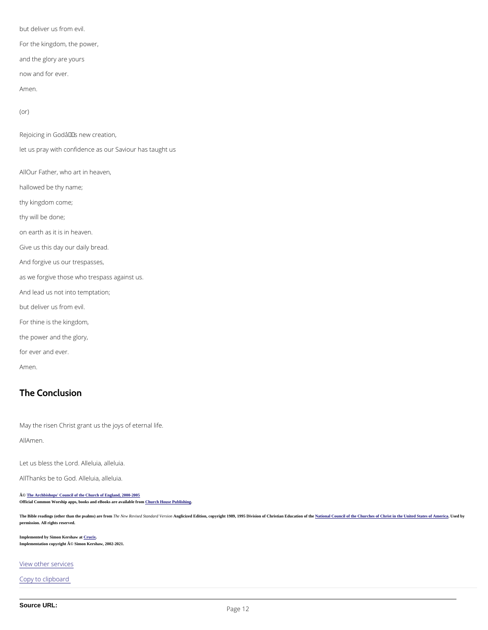but deliver us from evil. For the kingdom, the power, and the glory are yours now and for ever. Amen.

(or)

Rejoicing in Godâ $\in$ <sup>TM</sup>s new creation, let us pray with confidence as our Saviour has taught us ADur Father, who art in heaven, hallowed be thy name; thy kingdom come; thy will be done; on earth as it is in heaven. Give us this day our daily bread. And forgive us our trespasses, as we forgive those who trespass against us. And lead us not into temptation; but deliver us from evil. For thine is the kingdom, the power and the glory, for ever and ever. Amen.

The Bible readings (other than the psalms) are from he New Revised Standard Versionglicized Edition, copyright 1989, 1995 Division of Christian Education of the altional Council of the Churches of Christ in the United Stat permission. All rights reserved.

Implemented by Simon Kershaw a[t Crucix.](http://www.crucix.com/) Implementation copyright © Simon Kershaw, 2002-2021.

## The Conclusion

May the risen Christ grant us the joys of eternal life.

AAMmen.

Let us bless the lelourich. alleluia.

#### All hanks be to IGeologia, alleluia.

© [The Archbishops' Council of the Church of England, 2000-200](https://www.churchofengland.org/prayer-worship/join-us-in-daily-prayer/copyright.aspx)5

Official Common Worship apps, books and eBooks are available fro[m Church House Publishing.](http://www.chpublishing.co.uk/)

[View other s](/prayer-and-worship/join-us-service-daily-prayer)ervices

Copy to clipboard

Source URL: Page 12